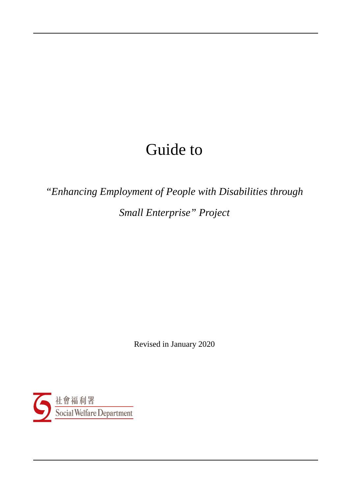# Guide to

*"Enhancing Employment of People with Disabilities through Small Enterprise" Project*

Revised in January 2020

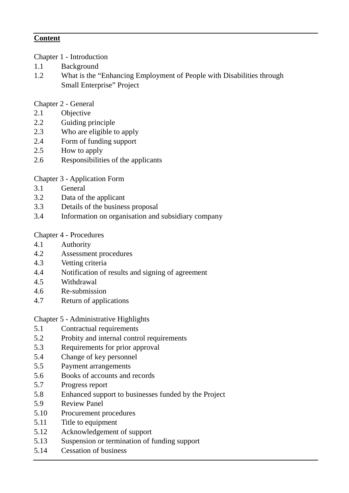## **Content**

Chapter 1 - Introduction

- 1.1 Background
- 1.2 What is the "Enhancing Employment of People with Disabilities through Small Enterprise" Project

Chapter 2 - General

- 2.1 Objective
- 2.2 Guiding principle
- 2.3 Who are eligible to apply
- 2.4 Form of funding support
- 2.5 How to apply
- 2.6 Responsibilities of the applicants

Chapter 3 - Application Form

- 3.1 General
- 3.2 Data of the applicant
- 3.3 Details of the business proposal
- 3.4 Information on organisation and subsidiary company

#### Chapter 4 - Procedures

- 4.1 Authority
- 4.2 Assessment procedures
- 4.3 Vetting criteria
- 4.4 Notification of results and signing of agreement
- 4.5 Withdrawal
- 4.6 Re-submission
- 4.7 Return of applications

Chapter 5 - Administrative Highlights

- 5.1 Contractual requirements
- 5.2 Probity and internal control requirements
- 5.3 Requirements for prior approval
- 5.4 Change of key personnel
- 5.5 Payment arrangements
- 5.6 Books of accounts and records
- 5.7 Progress report
- 5.8 Enhanced support to businesses funded by the Project
- 5.9 Review Panel
- 5.10 Procurement procedures
- 5.11 Title to equipment
- 5.12 Acknowledgement of support
- 5.13 Suspension or termination of funding support
- 5.14 Cessation of business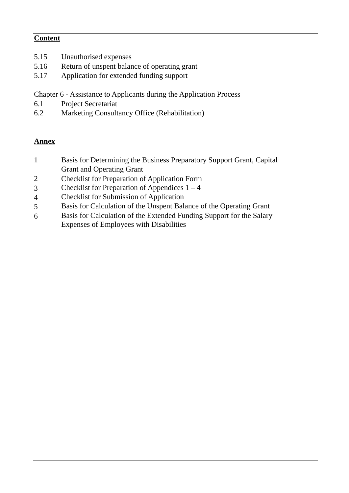## **Content**

- 5.15 Unauthorised expenses
- 5.16 Return of unspent balance of operating grant
- 5.17 Application for extended funding support

Chapter 6 - Assistance to Applicants during the Application Process

- 6.1 Project Secretariat
- 6.2 Marketing Consultancy Office (Rehabilitation)

# **Annex**

- 1 Basis for Determining the Business Preparatory Support Grant, Capital Grant and Operating Grant
- 2 Checklist for Preparation of Application Form
- 3 Checklist for Preparation of Appendices  $1 4$
- 4 Checklist for Submission of Application
- 5 Basis for Calculation of the Unspent Balance of the Operating Grant
- 6 Basis for Calculation of the Extended Funding Support for the Salary Expenses of Employees with Disabilities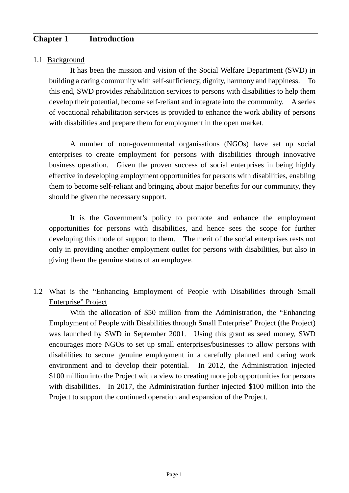# **Chapter 1 Introduction**

## 1.1 Background

It has been the mission and vision of the Social Welfare Department (SWD) in building a caring community with self-sufficiency, dignity, harmony and happiness. To this end, SWD provides rehabilitation services to persons with disabilities to help them develop their potential, become self-reliant and integrate into the community. A series of vocational rehabilitation services is provided to enhance the work ability of persons with disabilities and prepare them for employment in the open market.

A number of non-governmental organisations (NGOs) have set up social enterprises to create employment for persons with disabilities through innovative business operation. Given the proven success of social enterprises in being highly effective in developing employment opportunities for persons with disabilities, enabling them to become self-reliant and bringing about major benefits for our community, they should be given the necessary support.

It is the Government's policy to promote and enhance the employment opportunities for persons with disabilities, and hence sees the scope for further developing this mode of support to them. The merit of the social enterprises rests not only in providing another employment outlet for persons with disabilities, but also in giving them the genuine status of an employee.

# 1.2 What is the "Enhancing Employment of People with Disabilities through Small Enterprise" Project

With the allocation of \$50 million from the Administration, the "Enhancing Employment of People with Disabilities through Small Enterprise" Project (the Project) was launched by SWD in September 2001. Using this grant as seed money, SWD encourages more NGOs to set up small enterprises/businesses to allow persons with disabilities to secure genuine employment in a carefully planned and caring work environment and to develop their potential. In 2012, the Administration injected \$100 million into the Project with a view to creating more job opportunities for persons with disabilities. In 2017, the Administration further injected \$100 million into the Project to support the continued operation and expansion of the Project.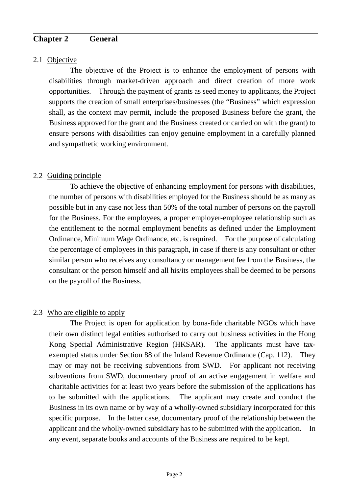## **Chapter 2 General**

## 2.1 Objective

The objective of the Project is to enhance the employment of persons with disabilities through market-driven approach and direct creation of more work opportunities. Through the payment of grants as seed money to applicants, the Project supports the creation of small enterprises/businesses (the "Business" which expression shall, as the context may permit, include the proposed Business before the grant, the Business approved for the grant and the Business created or carried on with the grant) to ensure persons with disabilities can enjoy genuine employment in a carefully planned and sympathetic working environment.

## 2.2 Guiding principle

To achieve the objective of enhancing employment for persons with disabilities, the number of persons with disabilities employed for the Business should be as many as possible but in any case not less than 50% of the total number of persons on the payroll for the Business. For the employees, a proper employer-employee relationship such as the entitlement to the normal employment benefits as defined under the Employment Ordinance, Minimum Wage Ordinance, etc. is required. For the purpose of calculating the percentage of employees in this paragraph, in case if there is any consultant or other similar person who receives any consultancy or management fee from the Business, the consultant or the person himself and all his/its employees shall be deemed to be persons on the payroll of the Business.

## 2.3 Who are eligible to apply

The Project is open for application by bona-fide charitable NGOs which have their own distinct legal entities authorised to carry out business activities in the Hong Kong Special Administrative Region (HKSAR). The applicants must have taxexempted status under Section 88 of the Inland Revenue Ordinance (Cap. 112). They may or may not be receiving subventions from SWD. For applicant not receiving subventions from SWD, documentary proof of an active engagement in welfare and charitable activities for at least two years before the submission of the applications has to be submitted with the applications. The applicant may create and conduct the Business in its own name or by way of a wholly-owned subsidiary incorporated for this specific purpose. In the latter case, documentary proof of the relationship between the applicant and the wholly-owned subsidiary has to be submitted with the application. In any event, separate books and accounts of the Business are required to be kept.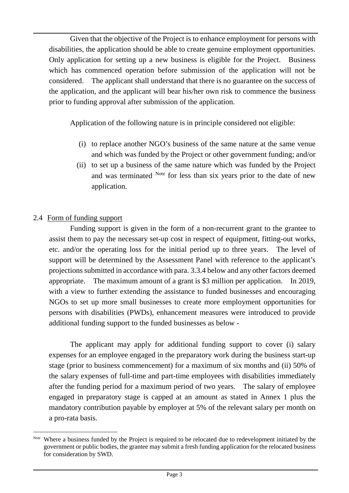Given that the objective of the Project is to enhance employment for persons with disabilities, the application should be able to create genuine employment opportunities. Only application for setting up a new business is eligible for the Project. Business which has commenced operation before submission of the application will not be considered. The applicant shall understand that there is no guarantee on the success of the application, and the applicant will bear his/her own risk to commence the business prior to funding approval after submission of the application.

Application of the following nature is in principle considered not eligible:

- (i) to replace another NGO's business of the same nature at the same venue and which was funded by the Project or other government funding; and/or
- (ii) to set up a business of the same nature which was funded by the Project and was terminated [Note](#page-5-0) for less than six years prior to the date of new application.

## 2.4 Form of funding support

Funding support is given in the form of a non-recurrent grant to the grantee to assist them to pay the necessary set-up cost in respect of equipment, fitting-out works, etc. and/or the operating loss for the initial period up to three years. The level of support will be determined by the Assessment Panel with reference to the applicant's projections submitted in accordance with para. 3.3.4 below and any other factors deemed appropriate. The maximum amount of a grant is \$3 million per application. In 2019, with a view to further extending the assistance to funded businesses and encouraging NGOs to set up more small businesses to create more employment opportunities for persons with disabilities (PWDs), enhancement measures were introduced to provide additional funding support to the funded businesses as below -

The applicant may apply for additional funding support to cover (i) salary expenses for an employee engaged in the preparatory work during the business start-up stage (prior to business commencement) for a maximum of six months and (ii) 50% of the salary expenses of full-time and part-time employees with disabilities immediately after the funding period for a maximum period of two years. The salary of employee engaged in preparatory stage is capped at an amount as stated in Annex 1 plus the mandatory contribution payable by employer at 5% of the relevant salary per month on a pro-rata basis.

<span id="page-5-0"></span>Note Where a business funded by the Project is required to be relocated due to redevelopment initiated by the government or public bodies, the grantee may submit a fresh funding application for the relocated business for consideration by SWD.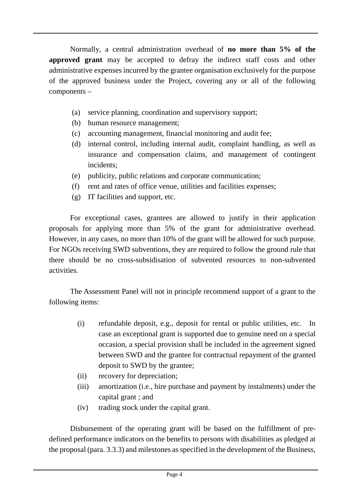Normally, a central administration overhead of **no more than 5% of the approved grant** may be accepted to defray the indirect staff costs and other administrative expenses incurred by the grantee organisation exclusively for the purpose of the approved business under the Project, covering any or all of the following components –

- (a) service planning, coordination and supervisory support;
- (b) human resource management;
- (c) accounting management, financial monitoring and audit fee;
- (d) internal control, including internal audit, complaint handling, as well as insurance and compensation claims, and management of contingent incidents;
- (e) publicity, public relations and corporate communication;
- (f) rent and rates of office venue, utilities and facilities expenses;
- (g) IT facilities and support, etc.

For exceptional cases, grantees are allowed to justify in their application proposals for applying more than 5% of the grant for administrative overhead. However, in any cases, no more than 10% of the grant will be allowed for such purpose. For NGOs receiving SWD subventions, they are required to follow the ground rule that there should be no cross-subsidisation of subvented resources to non-subvented activities.

The Assessment Panel will not in principle recommend support of a grant to the following items:

- (i) refundable deposit, e.g., deposit for rental or public utilities, etc. In case an exceptional grant is supported due to genuine need on a special occasion, a special provision shall be included in the agreement signed between SWD and the grantee for contractual repayment of the granted deposit to SWD by the grantee;
- (ii) recovery for depreciation;
- (iii) amortization (i.e., hire purchase and payment by instalments) under the capital grant ; and
- (iv) trading stock under the capital grant.

Disbursement of the operating grant will be based on the fulfillment of predefined performance indicators on the benefits to persons with disabilities as pledged at the proposal (para. 3.3.3) and milestones as specified in the development of the Business,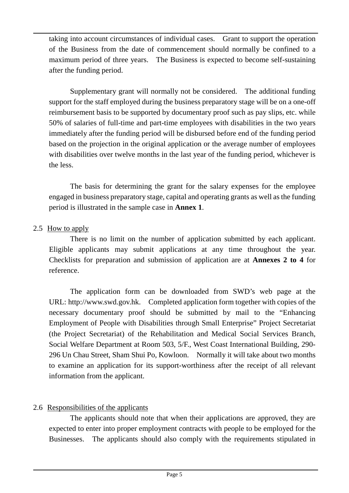taking into account circumstances of individual cases. Grant to support the operation of the Business from the date of commencement should normally be confined to a maximum period of three years. The Business is expected to become self-sustaining after the funding period.

Supplementary grant will normally not be considered. The additional funding support for the staff employed during the business preparatory stage will be on a one-off reimbursement basis to be supported by documentary proof such as pay slips, etc. while 50% of salaries of full-time and part-time employees with disabilities in the two years immediately after the funding period will be disbursed before end of the funding period based on the projection in the original application or the average number of employees with disabilities over twelve months in the last year of the funding period, whichever is the less.

The basis for determining the grant for the salary expenses for the employee engaged in business preparatory stage, capital and operating grants as well as the funding period is illustrated in the sample case in **Annex 1**.

#### 2.5 How to apply

There is no limit on the number of application submitted by each applicant. Eligible applicants may submit applications at any time throughout the year. Checklists for preparation and submission of application are at **Annexes 2 to 4** for reference.

The application form can be downloaded from SWD's web page at the URL: [http://www.swd.gov.hk.](http://www.swd.gov.hk/) Completed application form together with copies of the necessary documentary proof should be submitted by mail to the "Enhancing Employment of People with Disabilities through Small Enterprise" Project Secretariat (the Project Secretariat) of the Rehabilitation and Medical Social Services Branch, Social Welfare Department at Room 503, 5/F., West Coast International Building, 290- 296 Un Chau Street, Sham Shui Po, Kowloon. Normally it will take about two months to examine an application for its support-worthiness after the receipt of all relevant information from the applicant.

## 2.6 Responsibilities of the applicants

The applicants should note that when their applications are approved, they are expected to enter into proper employment contracts with people to be employed for the Businesses. The applicants should also comply with the requirements stipulated in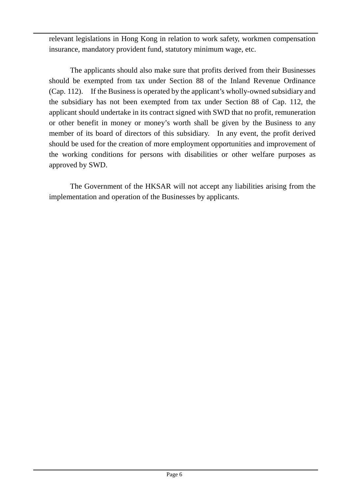relevant legislations in Hong Kong in relation to work safety, workmen compensation insurance, mandatory provident fund, statutory minimum wage, etc.

The applicants should also make sure that profits derived from their Businesses should be exempted from tax under Section 88 of the Inland Revenue Ordinance (Cap. 112). If the Business is operated by the applicant's wholly-owned subsidiary and the subsidiary has not been exempted from tax under Section 88 of Cap. 112, the applicant should undertake in its contract signed with SWD that no profit, remuneration or other benefit in money or money's worth shall be given by the Business to any member of its board of directors of this subsidiary. In any event, the profit derived should be used for the creation of more employment opportunities and improvement of the working conditions for persons with disabilities or other welfare purposes as approved by SWD.

The Government of the HKSAR will not accept any liabilities arising from the implementation and operation of the Businesses by applicants.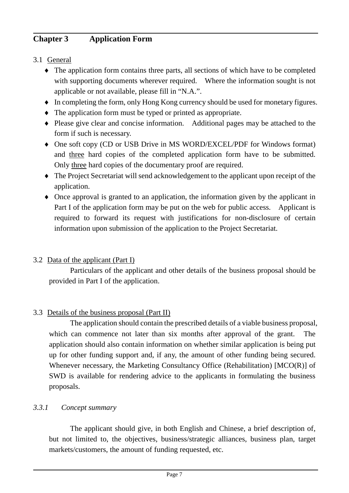# **Chapter 3 Application Form**

## 3.1 General

- ♦ The application form contains three parts, all sections of which have to be completed with supporting documents wherever required. Where the information sought is not applicable or not available, please fill in "N.A.".
- ♦ In completing the form, only Hong Kong currency should be used for monetary figures.
- ♦ The application form must be typed or printed as appropriate.
- ♦ Please give clear and concise information. Additional pages may be attached to the form if such is necessary.
- ♦ One soft copy (CD or USB Drive in MS WORD/EXCEL/PDF for Windows format) and three hard copies of the completed application form have to be submitted. Only three hard copies of the documentary proof are required.
- ♦ The Project Secretariat will send acknowledgement to the applicant upon receipt of the application.
- ♦ Once approval is granted to an application, the information given by the applicant in Part I of the application form may be put on the web for public access. Applicant is required to forward its request with justifications for non-disclosure of certain information upon submission of the application to the Project Secretariat.

# 3.2 Data of the applicant (Part I)

Particulars of the applicant and other details of the business proposal should be provided in Part I of the application.

# 3.3 Details of the business proposal (Part II)

The application should contain the prescribed details of a viable business proposal, which can commence not later than six months after approval of the grant. The application should also contain information on whether similar application is being put up for other funding support and, if any, the amount of other funding being secured. Whenever necessary, the Marketing Consultancy Office (Rehabilitation) [MCO(R)] of SWD is available for rendering advice to the applicants in formulating the business proposals.

## *3.3.1 Concept summary*

The applicant should give, in both English and Chinese, a brief description of, but not limited to, the objectives, business/strategic alliances, business plan, target markets/customers, the amount of funding requested, etc.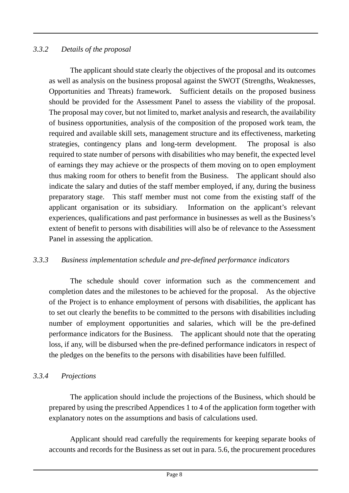## *3.3.2 Details of the proposal*

The applicant should state clearly the objectives of the proposal and its outcomes as well as analysis on the business proposal against the SWOT (Strengths, Weaknesses, Opportunities and Threats) framework. Sufficient details on the proposed business should be provided for the Assessment Panel to assess the viability of the proposal. The proposal may cover, but not limited to, market analysis and research, the availability of business opportunities, analysis of the composition of the proposed work team, the required and available skill sets, management structure and its effectiveness, marketing strategies, contingency plans and long-term development. The proposal is also required to state number of persons with disabilities who may benefit, the expected level of earnings they may achieve or the prospects of them moving on to open employment thus making room for others to benefit from the Business. The applicant should also indicate the salary and duties of the staff member employed, if any, during the business preparatory stage. This staff member must not come from the existing staff of the applicant organisation or its subsidiary. Information on the applicant's relevant experiences, qualifications and past performance in businesses as well as the Business's extent of benefit to persons with disabilities will also be of relevance to the Assessment Panel in assessing the application.

## *3.3.3 Business implementation schedule and pre-defined performance indicators*

The schedule should cover information such as the commencement and completion dates and the milestones to be achieved for the proposal. As the objective of the Project is to enhance employment of persons with disabilities, the applicant has to set out clearly the benefits to be committed to the persons with disabilities including number of employment opportunities and salaries, which will be the pre-defined performance indicators for the Business. The applicant should note that the operating loss, if any, will be disbursed when the pre-defined performance indicators in respect of the pledges on the benefits to the persons with disabilities have been fulfilled.

## *3.3.4 Projections*

The application should include the projections of the Business, which should be prepared by using the prescribed Appendices 1 to 4 of the application form together with explanatory notes on the assumptions and basis of calculations used.

Applicant should read carefully the requirements for keeping separate books of accounts and records for the Business as set out in para. 5.6, the procurement procedures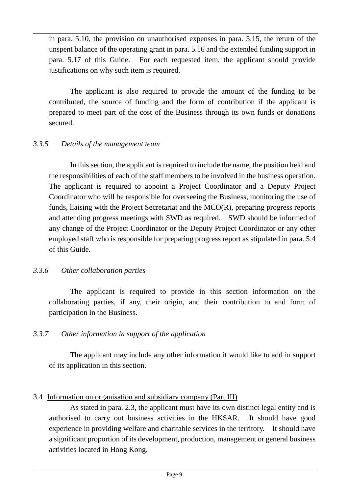in para. 5.10, the provision on unauthorised expenses in para. 5.15, the return of the unspent balance of the operating grant in para. 5.16 and the extended funding support in para. 5.17 of this Guide. For each requested item, the applicant should provide justifications on why such item is required.

The applicant is also required to provide the amount of the funding to be contributed, the source of funding and the form of contribution if the applicant is prepared to meet part of the cost of the Business through its own funds or donations secured.

#### *3.3.5 Details of the management team*

In this section, the applicant is required to include the name, the position held and the responsibilities of each of the staff members to be involved in the business operation. The applicant is required to appoint a Project Coordinator and a Deputy Project Coordinator who will be responsible for overseeing the Business, monitoring the use of funds, liaising with the Project Secretariat and the MCO(R), preparing progress reports and attending progress meetings with SWD as required. SWD should be informed of any change of the Project Coordinator or the Deputy Project Coordinator or any other employed staff who is responsible for preparing progress report as stipulated in para. 5.4 of this Guide.

#### *3.3.6 Other collaboration parties*

The applicant is required to provide in this section information on the collaborating parties, if any, their origin, and their contribution to and form of participation in the Business.

## *3.3.7 Other information in support of the application*

The applicant may include any other information it would like to add in support of its application in this section.

## 3.4 Information on organisation and subsidiary company (Part III)

As stated in para. 2.3, the applicant must have its own distinct legal entity and is authorised to carry out business activities in the HKSAR. It should have good experience in providing welfare and charitable services in the territory. It should have a significant proportion of its development, production, management or general business activities located in Hong Kong.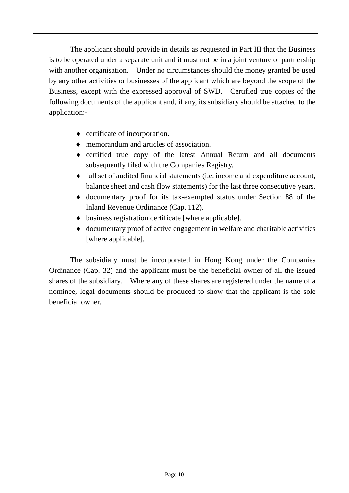The applicant should provide in details as requested in Part III that the Business is to be operated under a separate unit and it must not be in a joint venture or partnership with another organisation. Under no circumstances should the money granted be used by any other activities or businesses of the applicant which are beyond the scope of the Business, except with the expressed approval of SWD. Certified true copies of the following documents of the applicant and, if any, its subsidiary should be attached to the application:-

- ♦ certificate of incorporation.
- ♦ memorandum and articles of association.
- ♦ certified true copy of the latest Annual Return and all documents subsequently filed with the Companies Registry.
- ♦ full set of audited financial statements (i.e. income and expenditure account, balance sheet and cash flow statements) for the last three consecutive years.
- ♦ documentary proof for its tax-exempted status under Section 88 of the Inland Revenue Ordinance (Cap. 112).
- ♦ business registration certificate [where applicable].
- ♦ documentary proof of active engagement in welfare and charitable activities [where applicable].

The subsidiary must be incorporated in Hong Kong under the Companies Ordinance (Cap. 32) and the applicant must be the beneficial owner of all the issued shares of the subsidiary. Where any of these shares are registered under the name of a nominee, legal documents should be produced to show that the applicant is the sole beneficial owner.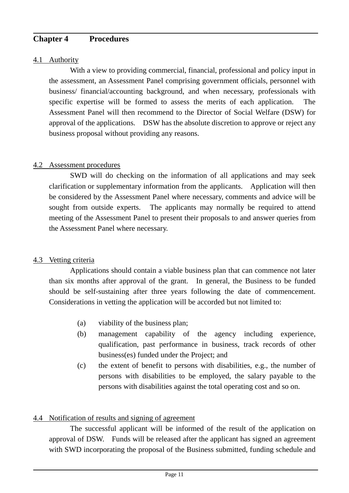## **Chapter 4 Procedures**

#### 4.1 Authority

With a view to providing commercial, financial, professional and policy input in the assessment, an Assessment Panel comprising government officials, personnel with business/ financial/accounting background, and when necessary, professionals with specific expertise will be formed to assess the merits of each application. The Assessment Panel will then recommend to the Director of Social Welfare (DSW) for approval of the applications. DSW has the absolute discretion to approve or reject any business proposal without providing any reasons.

#### 4.2 Assessment procedures

SWD will do checking on the information of all applications and may seek clarification or supplementary information from the applicants. Application will then be considered by the Assessment Panel where necessary, comments and advice will be sought from outside experts. The applicants may normally be required to attend meeting of the Assessment Panel to present their proposals to and answer queries from the Assessment Panel where necessary.

#### 4.3 Vetting criteria

Applications should contain a viable business plan that can commence not later than six months after approval of the grant. In general, the Business to be funded should be self-sustaining after three years following the date of commencement. Considerations in vetting the application will be accorded but not limited to:

- (a) viability of the business plan;
- (b) management capability of the agency including experience, qualification, past performance in business, track records of other business(es) funded under the Project; and
- (c) the extent of benefit to persons with disabilities, e.g., the number of persons with disabilities to be employed, the salary payable to the persons with disabilities against the total operating cost and so on.

## 4.4 Notification of results and signing of agreement

The successful applicant will be informed of the result of the application on approval of DSW. Funds will be released after the applicant has signed an agreement with SWD incorporating the proposal of the Business submitted, funding schedule and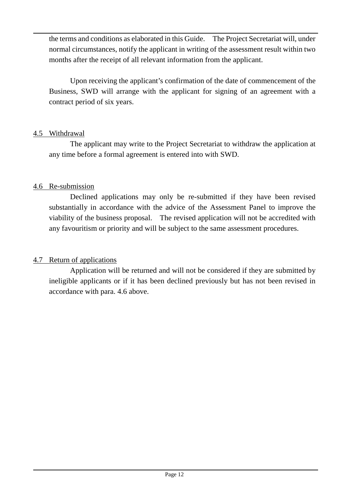the terms and conditions as elaborated in this Guide. The Project Secretariat will, under normal circumstances, notify the applicant in writing of the assessment result within two months after the receipt of all relevant information from the applicant.

Upon receiving the applicant's confirmation of the date of commencement of the Business, SWD will arrange with the applicant for signing of an agreement with a contract period of six years.

#### 4.5 Withdrawal

The applicant may write to the Project Secretariat to withdraw the application at any time before a formal agreement is entered into with SWD.

## 4.6 Re-submission

Declined applications may only be re-submitted if they have been revised substantially in accordance with the advice of the Assessment Panel to improve the viability of the business proposal. The revised application will not be accredited with any favouritism or priority and will be subject to the same assessment procedures.

## 4.7 Return of applications

Application will be returned and will not be considered if they are submitted by ineligible applicants or if it has been declined previously but has not been revised in accordance with para. 4.6 above.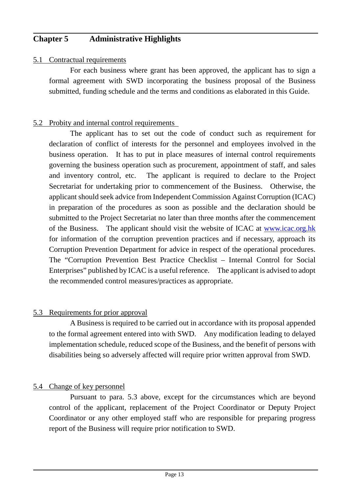## **Chapter 5 Administrative Highlights**

#### 5.1 Contractual requirements

For each business where grant has been approved, the applicant has to sign a formal agreement with SWD incorporating the business proposal of the Business submitted, funding schedule and the terms and conditions as elaborated in this Guide.

#### 5.2 Probity and internal control requirements

The applicant has to set out the code of conduct such as requirement for declaration of conflict of interests for the personnel and employees involved in the business operation. It has to put in place measures of internal control requirements governing the business operation such as procurement, appointment of staff, and sales and inventory control, etc. The applicant is required to declare to the Project Secretariat for undertaking prior to commencement of the Business. Otherwise, the applicant should seek advice from Independent Commission Against Corruption (ICAC) in preparation of the procedures as soon as possible and the declaration should be submitted to the Project Secretariat no later than three months after the commencement of the Business. The applicant should visit the website of ICAC at [www.icac.org.hk](http://www.icac.org.hk/) for information of the corruption prevention practices and if necessary, approach its Corruption Prevention Department for advice in respect of the operational procedures. The "Corruption Prevention Best Practice Checklist – Internal Control for Social Enterprises" published by ICAC is a useful reference. The applicant is advised to adopt the recommended control measures/practices as appropriate.

#### 5.3 Requirements for prior approval

A Business is required to be carried out in accordance with its proposal appended to the formal agreement entered into with SWD. Any modification leading to delayed implementation schedule, reduced scope of the Business, and the benefit of persons with disabilities being so adversely affected will require prior written approval from SWD.

#### 5.4 Change of key personnel

Pursuant to para. 5.3 above, except for the circumstances which are beyond control of the applicant, replacement of the Project Coordinator or Deputy Project Coordinator or any other employed staff who are responsible for preparing progress report of the Business will require prior notification to SWD.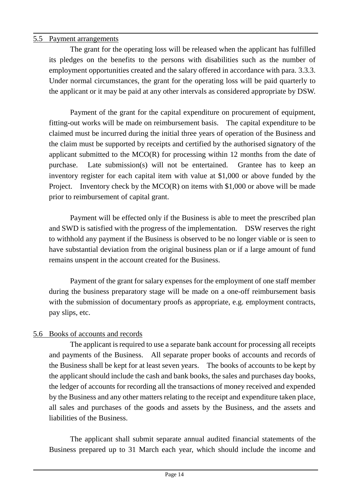## 5.5 Payment arrangements

The grant for the operating loss will be released when the applicant has fulfilled its pledges on the benefits to the persons with disabilities such as the number of employment opportunities created and the salary offered in accordance with para. 3.3.3. Under normal circumstances, the grant for the operating loss will be paid quarterly to the applicant or it may be paid at any other intervals as considered appropriate by DSW.

Payment of the grant for the capital expenditure on procurement of equipment, fitting-out works will be made on reimbursement basis. The capital expenditure to be claimed must be incurred during the initial three years of operation of the Business and the claim must be supported by receipts and certified by the authorised signatory of the applicant submitted to the MCO(R) for processing within 12 months from the date of purchase. Late submission(s) will not be entertained. Grantee has to keep an inventory register for each capital item with value at \$1,000 or above funded by the Project. Inventory check by the  $MCO(R)$  on items with \$1,000 or above will be made prior to reimbursement of capital grant.

Payment will be effected only if the Business is able to meet the prescribed plan and SWD is satisfied with the progress of the implementation. DSW reserves the right to withhold any payment if the Business is observed to be no longer viable or is seen to have substantial deviation from the original business plan or if a large amount of fund remains unspent in the account created for the Business.

Payment of the grant for salary expenses for the employment of one staff member during the business preparatory stage will be made on a one-off reimbursement basis with the submission of documentary proofs as appropriate, e.g. employment contracts, pay slips, etc.

## 5.6 Books of accounts and records

The applicant is required to use a separate bank account for processing all receipts and payments of the Business. All separate proper books of accounts and records of the Business shall be kept for at least seven years. The books of accounts to be kept by the applicant should include the cash and bank books, the sales and purchases day books, the ledger of accounts for recording all the transactions of money received and expended by the Business and any other matters relating to the receipt and expenditure taken place, all sales and purchases of the goods and assets by the Business, and the assets and liabilities of the Business.

The applicant shall submit separate annual audited financial statements of the Business prepared up to 31 March each year, which should include the income and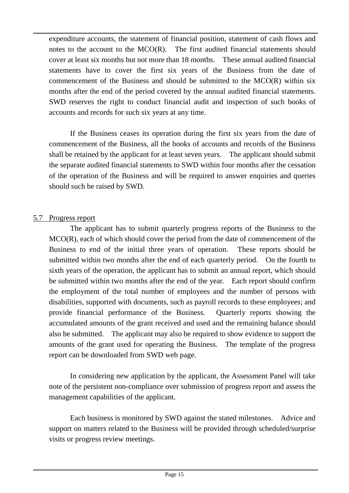expenditure accounts, the statement of financial position, statement of cash flows and notes to the account to the MCO(R). The first audited financial statements should cover at least six months but not more than 18 months. These annual audited financial statements have to cover the first six years of the Business from the date of commencement of the Business and should be submitted to the MCO(R) within six months after the end of the period covered by the annual audited financial statements. SWD reserves the right to conduct financial audit and inspection of such books of accounts and records for such six years at any time.

If the Business ceases its operation during the first six years from the date of commencement of the Business, all the books of accounts and records of the Business shall be retained by the applicant for at least seven years. The applicant should submit the separate audited financial statements to SWD within four months after the cessation of the operation of the Business and will be required to answer enquiries and queries should such be raised by SWD.

## 5.7 Progress report

The applicant has to submit quarterly progress reports of the Business to the MCO(R), each of which should cover the period from the date of commencement of the Business to end of the initial three years of operation. These reports should be submitted within two months after the end of each quarterly period. On the fourth to sixth years of the operation, the applicant has to submit an annual report, which should be submitted within two months after the end of the year. Each report should confirm the employment of the total number of employees and the number of persons with disabilities, supported with documents, such as payroll records to these employees; and provide financial performance of the Business. Quarterly reports showing the accumulated amounts of the grant received and used and the remaining balance should also be submitted. The applicant may also be required to show evidence to support the amounts of the grant used for operating the Business. The template of the progress report can be downloaded from SWD web page.

In considering new application by the applicant, the Assessment Panel will take note of the persistent non-compliance over submission of progress report and assess the management capabilities of the applicant.

Each business is monitored by SWD against the stated milestones. Advice and support on matters related to the Business will be provided through scheduled/surprise visits or progress review meetings.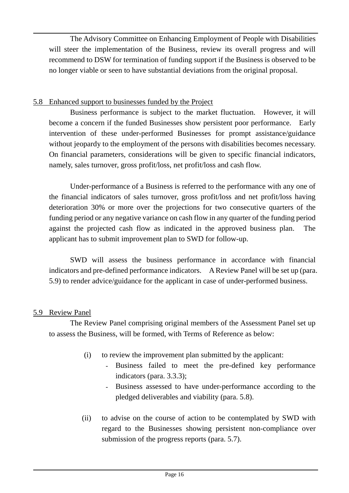The Advisory Committee on Enhancing Employment of People with Disabilities will steer the implementation of the Business, review its overall progress and will recommend to DSW for termination of funding support if the Business is observed to be no longer viable or seen to have substantial deviations from the original proposal.

#### 5.8 Enhanced support to businesses funded by the Project

Business performance is subject to the market fluctuation. However, it will become a concern if the funded Businesses show persistent poor performance. Early intervention of these under-performed Businesses for prompt assistance/guidance without jeopardy to the employment of the persons with disabilities becomes necessary. On financial parameters, considerations will be given to specific financial indicators, namely, sales turnover, gross profit/loss, net profit/loss and cash flow.

Under-performance of a Business is referred to the performance with any one of the financial indicators of sales turnover, gross profit/loss and net profit/loss having deterioration 30% or more over the projections for two consecutive quarters of the funding period or any negative variance on cash flow in any quarter of the funding period against the projected cash flow as indicated in the approved business plan. The applicant has to submit improvement plan to SWD for follow-up.

SWD will assess the business performance in accordance with financial indicators and pre-defined performance indicators. A Review Panel will be set up (para. 5.9) to render advice/guidance for the applicant in case of under-performed business.

## 5.9 Review Panel

The Review Panel comprising original members of the Assessment Panel set up to assess the Business, will be formed, with Terms of Reference as below:

- (i) to review the improvement plan submitted by the applicant:
	- Business failed to meet the pre-defined key performance indicators (para. 3.3.3);
	- Business assessed to have under-performance according to the pledged deliverables and viability (para. 5.8).
- (ii) to advise on the course of action to be contemplated by SWD with regard to the Businesses showing persistent non-compliance over submission of the progress reports (para. 5.7).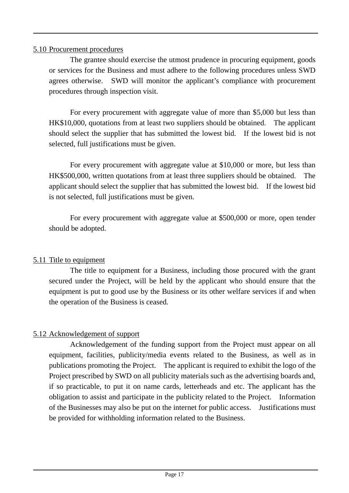#### 5.10 Procurement procedures

The grantee should exercise the utmost prudence in procuring equipment, goods or services for the Business and must adhere to the following procedures unless SWD agrees otherwise. SWD will monitor the applicant's compliance with procurement procedures through inspection visit.

For every procurement with aggregate value of more than \$5,000 but less than HK\$10,000, quotations from at least two suppliers should be obtained. The applicant should select the supplier that has submitted the lowest bid. If the lowest bid is not selected, full justifications must be given.

For every procurement with aggregate value at \$10,000 or more, but less than HK\$500,000, written quotations from at least three suppliers should be obtained. The applicant should select the supplier that has submitted the lowest bid. If the lowest bid is not selected, full justifications must be given.

For every procurement with aggregate value at \$500,000 or more, open tender should be adopted.

## 5.11 Title to equipment

The title to equipment for a Business, including those procured with the grant secured under the Project, will be held by the applicant who should ensure that the equipment is put to good use by the Business or its other welfare services if and when the operation of the Business is ceased.

## 5.12 Acknowledgement of support

Acknowledgement of the funding support from the Project must appear on all equipment, facilities, publicity/media events related to the Business, as well as in publications promoting the Project. The applicant is required to exhibit the logo of the Project prescribed by SWD on all publicity materials such as the advertising boards and, if so practicable, to put it on name cards, letterheads and etc. The applicant has the obligation to assist and participate in the publicity related to the Project. Information of the Businesses may also be put on the internet for public access. Justifications must be provided for withholding information related to the Business.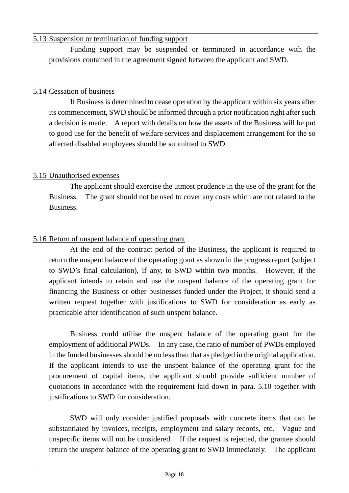#### 5.13 Suspension or termination of funding support

Funding support may be suspended or terminated in accordance with the provisions contained in the agreement signed between the applicant and SWD.

## 5.14 Cessation of business

If Business is determined to cease operation by the applicant within six years after its commencement, SWD should be informed through a prior notification right after such a decision is made. A report with details on how the assets of the Business will be put to good use for the benefit of welfare services and displacement arrangement for the so affected disabled employees should be submitted to SWD.

## 5.15 Unauthorised expenses

The applicant should exercise the utmost prudence in the use of the grant for the Business. The grant should not be used to cover any costs which are not related to the Business.

## 5.16 Return of unspent balance of operating grant

At the end of the contract period of the Business, the applicant is required to return the unspent balance of the operating grant as shown in the progress report (subject to SWD's final calculation), if any, to SWD within two months. However, if the applicant intends to retain and use the unspent balance of the operating grant for financing the Business or other businesses funded under the Project, it should send a written request together with justifications to SWD for consideration as early as practicable after identification of such unspent balance.

Business could utilise the unspent balance of the operating grant for the employment of additional PWDs. In any case, the ratio of number of PWDs employed in the funded businesses should be no less than that as pledged in the original application. If the applicant intends to use the unspent balance of the operating grant for the procurement of capital items, the applicant should provide sufficient number of quotations in accordance with the requirement laid down in para. 5.10 together with justifications to SWD for consideration.

SWD will only consider justified proposals with concrete items that can be substantiated by invoices, receipts, employment and salary records, etc. Vague and unspecific items will not be considered. If the request is rejected, the grantee should return the unspent balance of the operating grant to SWD immediately. The applicant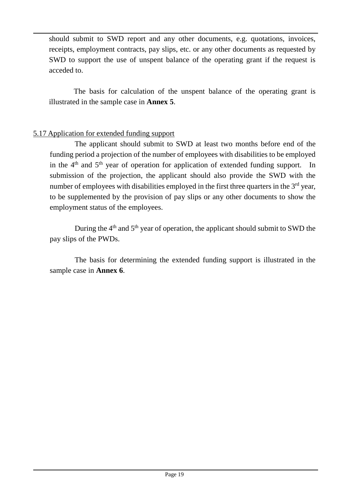should submit to SWD report and any other documents, e.g. quotations, invoices, receipts, employment contracts, pay slips, etc. or any other documents as requested by SWD to support the use of unspent balance of the operating grant if the request is acceded to.

The basis for calculation of the unspent balance of the operating grant is illustrated in the sample case in **Annex 5**.

#### 5.17 Application for extended funding support

The applicant should submit to SWD at least two months before end of the funding period a projection of the number of employees with disabilities to be employed in the  $4<sup>th</sup>$  and  $5<sup>th</sup>$  year of operation for application of extended funding support. In submission of the projection, the applicant should also provide the SWD with the number of employees with disabilities employed in the first three quarters in the  $3<sup>rd</sup>$  year, to be supplemented by the provision of pay slips or any other documents to show the employment status of the employees.

During the  $4<sup>th</sup>$  and  $5<sup>th</sup>$  year of operation, the applicant should submit to SWD the pay slips of the PWDs.

The basis for determining the extended funding support is illustrated in the sample case in **Annex 6**.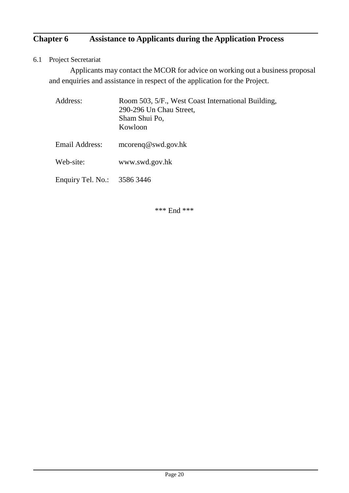# **Chapter 6 Assistance to Applicants during the Application Process**

6.1 Project Secretariat

Applicants may contact the MCOR for advice on working out a business proposal and enquiries and assistance in respect of the application for the Project.

| Address:                    | Room 503, 5/F., West Coast International Building,<br>290-296 Un Chau Street,<br>Sham Shui Po,<br>Kowloon |
|-----------------------------|-----------------------------------------------------------------------------------------------------------|
| Email Address:              | $\text{mcoreng}\,\omega$ swd.gov.hk                                                                       |
| Web-site:                   | www.swd.gov.hk                                                                                            |
| Enquiry Tel. No.: 3586 3446 |                                                                                                           |

\*\*\* End \*\*\*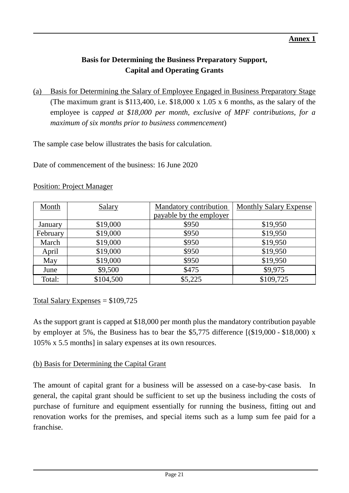# **Basis for Determining the Business Preparatory Support, Capital and Operating Grants**

(a) Basis for Determining the Salary of Employee Engaged in Business Preparatory Stage (The maximum grant is \$113,400, i.e. \$18,000 x 1.05 x 6 months, as the salary of the employee is c*apped at \$18,000 per month, exclusive of MPF contributions, for a maximum of six months prior to business commencement*)

The sample case below illustrates the basis for calculation.

Date of commencement of the business: 16 June 2020

| Month    | Salary    | Mandatory contribution  | Monthly Salary Expense |  |
|----------|-----------|-------------------------|------------------------|--|
|          |           | payable by the employer |                        |  |
| January  | \$19,000  | \$950                   | \$19,950               |  |
| February | \$19,000  | \$950                   | \$19,950               |  |
| March    | \$19,000  | \$950                   | \$19,950               |  |
| April    | \$19,000  | \$950                   | \$19,950               |  |
| May      | \$19,000  | \$950                   | \$19,950               |  |
| June     | \$9,500   | \$475                   | \$9,975                |  |
| Total:   | \$104,500 | \$5,225                 | \$109,725              |  |

#### Position: Project Manager

Total Salary Expenses  $= $109,725$ 

As the support grant is capped at \$18,000 per month plus the mandatory contribution payable by employer at 5%, the Business has to bear the \$5,775 difference [(\$19,000 - \$18,000) x 105% x 5.5 months] in salary expenses at its own resources.

## (b) Basis for Determining the Capital Grant

The amount of capital grant for a business will be assessed on a case-by-case basis. In general, the capital grant should be sufficient to set up the business including the costs of purchase of furniture and equipment essentially for running the business, fitting out and renovation works for the premises, and special items such as a lump sum fee paid for a franchise.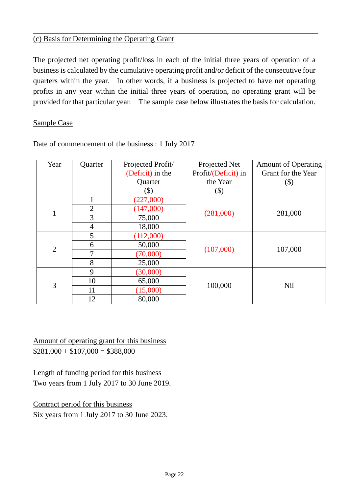#### (c) Basis for Determining the Operating Grant

The projected net operating profit/loss in each of the initial three years of operation of a business is calculated by the cumulative operating profit and/or deficit of the consecutive four quarters within the year. In other words, if a business is projected to have net operating profits in any year within the initial three years of operation, no operating grant will be provided for that particular year. The sample case below illustrates the basis for calculation.

#### Sample Case

| Year                           | Quarter                                                                                                                                                                                                     | Projected Profit/      | Projected Net       | <b>Amount of Operating</b> |  |
|--------------------------------|-------------------------------------------------------------------------------------------------------------------------------------------------------------------------------------------------------------|------------------------|---------------------|----------------------------|--|
|                                |                                                                                                                                                                                                             | (Deficit) in the       | Profit/(Deficit) in | Grant for the Year         |  |
|                                |                                                                                                                                                                                                             | Quarter                | the Year            | $(\$)$                     |  |
|                                |                                                                                                                                                                                                             | $(\$)$                 | $(\$)$              |                            |  |
| $\mathbf{1}$<br>$\overline{2}$ |                                                                                                                                                                                                             | (227,000)              |                     |                            |  |
|                                | $\overline{2}$<br>(147,000)<br>3<br>75,000<br>$\overline{4}$<br>18,000<br>5<br>(112,000)<br>50,000<br>6<br>7<br>(70,000)<br>8<br>25,000<br>9<br>(30,000)<br>10<br>65,000<br>100,000<br>(15,000)<br>11<br>12 |                        |                     |                            |  |
|                                |                                                                                                                                                                                                             | (281,000)<br>(107,000) | 281,000             |                            |  |
|                                |                                                                                                                                                                                                             |                        |                     |                            |  |
|                                |                                                                                                                                                                                                             |                        |                     |                            |  |
|                                |                                                                                                                                                                                                             |                        |                     |                            |  |
|                                |                                                                                                                                                                                                             |                        |                     | 107,000                    |  |
|                                |                                                                                                                                                                                                             |                        |                     |                            |  |
|                                |                                                                                                                                                                                                             |                        |                     |                            |  |
|                                |                                                                                                                                                                                                             |                        |                     | <b>Nil</b>                 |  |
| 3                              |                                                                                                                                                                                                             |                        |                     |                            |  |
|                                |                                                                                                                                                                                                             | 80,000                 |                     |                            |  |

Date of commencement of the business : 1 July 2017

Amount of operating grant for this business  $$281,000 + $107,000 = $388,000$ 

Length of funding period for this business Two years from 1 July 2017 to 30 June 2019.

Contract period for this business Six years from 1 July 2017 to 30 June 2023.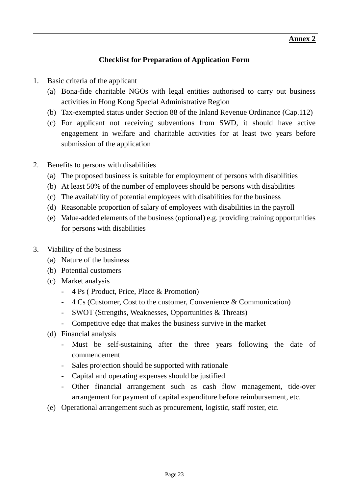## **Checklist for Preparation of Application Form**

- 1. Basic criteria of the applicant
	- (a) Bona-fide charitable NGOs with legal entities authorised to carry out business activities in Hong Kong Special Administrative Region
	- (b) Tax-exempted status under Section 88 of the Inland Revenue Ordinance (Cap.112)
	- (c) For applicant not receiving subventions from SWD, it should have active engagement in welfare and charitable activities for at least two years before submission of the application
- 2. Benefits to persons with disabilities
	- (a) The proposed business is suitable for employment of persons with disabilities
	- (b) At least 50% of the number of employees should be persons with disabilities
	- (c) The availability of potential employees with disabilities for the business
	- (d) Reasonable proportion of salary of employees with disabilities in the payroll
	- (e) Value-added elements of the business (optional) e.g. providing training opportunities for persons with disabilities
- 3. Viability of the business
	- (a) Nature of the business
	- (b) Potential customers
	- (c) Market analysis
		- 4 Ps ( Product, Price, Place & Promotion)
		- 4 Cs (Customer, Cost to the customer, Convenience & Communication)
		- SWOT (Strengths, Weaknesses, Opportunities & Threats)
		- Competitive edge that makes the business survive in the market
	- (d) Financial analysis
		- Must be self-sustaining after the three years following the date of commencement
		- Sales projection should be supported with rationale
		- Capital and operating expenses should be justified
		- Other financial arrangement such as cash flow management, tide-over arrangement for payment of capital expenditure before reimbursement, etc.
	- (e) Operational arrangement such as procurement, logistic, staff roster, etc.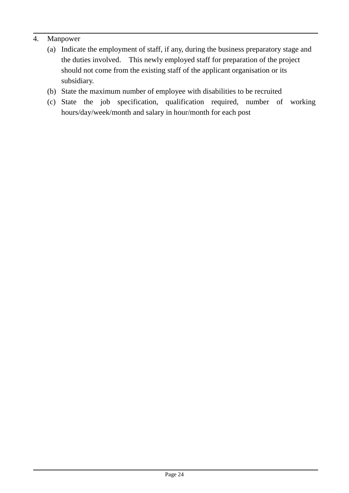## 4. Manpower

- (a) Indicate the employment of staff, if any, during the business preparatory stage and the duties involved. This newly employed staff for preparation of the project should not come from the existing staff of the applicant organisation or its subsidiary.
- (b) State the maximum number of employee with disabilities to be recruited
- (c) State the job specification, qualification required, number of working hours/day/week/month and salary in hour/month for each post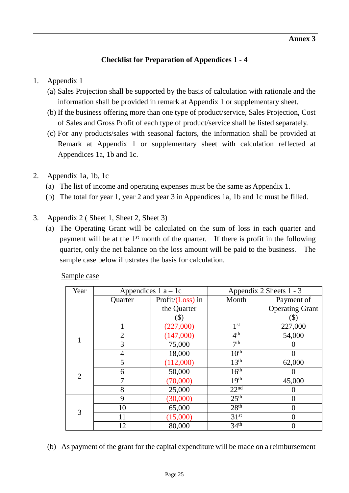# **Checklist for Preparation of Appendices 1 - 4**

# 1. Appendix 1

- (a) Sales Projection shall be supported by the basis of calculation with rationale and the information shall be provided in remark at Appendix 1 or supplementary sheet.
- (b) If the business offering more than one type of product/service, Sales Projection, Cost of Sales and Gross Profit of each type of product/service shall be listed separately.
- (c) For any products/sales with seasonal factors, the information shall be provided at Remark at Appendix 1 or supplementary sheet with calculation reflected at Appendices 1a, 1b and 1c.
- 2. Appendix 1a, 1b, 1c
	- (a) The list of income and operating expenses must be the same as Appendix 1.
	- (b) The total for year 1, year 2 and year 3 in Appendices 1a, 1b and 1c must be filled.
- 3. Appendix 2 ( Sheet 1, Sheet 2, Sheet 3)
	- (a) The Operating Grant will be calculated on the sum of loss in each quarter and payment will be at the  $1<sup>st</sup>$  month of the quarter. If there is profit in the following quarter, only the net balance on the loss amount will be paid to the business. The sample case below illustrates the basis for calculation.

| Year                |                                                                                                                                                                                                                                                                                                                                                                                                                           |                     |                 |                        |
|---------------------|---------------------------------------------------------------------------------------------------------------------------------------------------------------------------------------------------------------------------------------------------------------------------------------------------------------------------------------------------------------------------------------------------------------------------|---------------------|-----------------|------------------------|
|                     | Quarter                                                                                                                                                                                                                                                                                                                                                                                                                   | Profit/ $(Loss)$ in | Month           | Payment of             |
|                     |                                                                                                                                                                                                                                                                                                                                                                                                                           | the Quarter         |                 | <b>Operating Grant</b> |
|                     |                                                                                                                                                                                                                                                                                                                                                                                                                           | (\$)                |                 | $(\$)$                 |
|                     |                                                                                                                                                                                                                                                                                                                                                                                                                           | (227,000)           | 1 <sup>st</sup> | 227,000                |
|                     | $\overline{2}$                                                                                                                                                                                                                                                                                                                                                                                                            | (147,000)           | 4 <sup>th</sup> | 54,000                 |
|                     | Appendices $1 a - 1c$<br>Appendix 2 Sheets 1 - 3<br>7 <sup>th</sup><br>3<br>75,000<br>10 <sup>th</sup><br>18,000<br>4<br>13 <sup>th</sup><br>(112,000)<br>5<br>16 <sup>th</sup><br>50,000<br>6<br>19 <sup>th</sup><br>(70,000)<br>7<br>22 <sup>nd</sup><br>8<br>25,000<br>25 <sup>th</sup><br>9<br>(30,000)<br>28 <sup>th</sup><br>65,000<br>10<br>31 <sup>st</sup><br>(15,000)<br>11<br>34 <sup>th</sup><br>80,000<br>12 |                     |                 |                        |
| $\overline{2}$<br>3 |                                                                                                                                                                                                                                                                                                                                                                                                                           |                     |                 | $\theta$               |
|                     |                                                                                                                                                                                                                                                                                                                                                                                                                           |                     |                 | 62,000                 |
|                     |                                                                                                                                                                                                                                                                                                                                                                                                                           |                     |                 | $\mathbf{\Omega}$      |
|                     |                                                                                                                                                                                                                                                                                                                                                                                                                           |                     |                 | 45,000                 |
|                     |                                                                                                                                                                                                                                                                                                                                                                                                                           |                     |                 |                        |
|                     |                                                                                                                                                                                                                                                                                                                                                                                                                           |                     |                 | $\theta$               |
|                     |                                                                                                                                                                                                                                                                                                                                                                                                                           |                     |                 | 0                      |
|                     |                                                                                                                                                                                                                                                                                                                                                                                                                           |                     | 0               |                        |
|                     |                                                                                                                                                                                                                                                                                                                                                                                                                           |                     |                 | 0                      |

Sample case

(b) As payment of the grant for the capital expenditure will be made on a reimbursement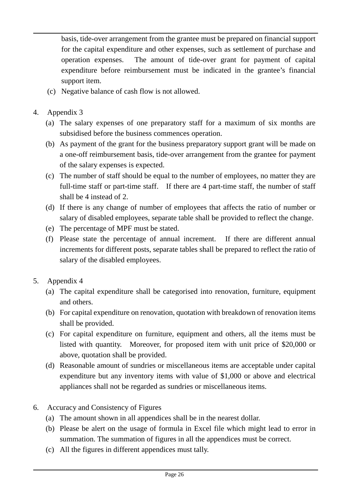basis, tide-over arrangement from the grantee must be prepared on financial support for the capital expenditure and other expenses, such as settlement of purchase and operation expenses. The amount of tide-over grant for payment of capital expenditure before reimbursement must be indicated in the grantee's financial support item.

- (c) Negative balance of cash flow is not allowed.
- 4. Appendix 3
	- (a) The salary expenses of one preparatory staff for a maximum of six months are subsidised before the business commences operation.
	- (b) As payment of the grant for the business preparatory support grant will be made on a one-off reimbursement basis, tide-over arrangement from the grantee for payment of the salary expenses is expected.
	- (c) The number of staff should be equal to the number of employees, no matter they are full-time staff or part-time staff. If there are 4 part-time staff, the number of staff shall be 4 instead of 2.
	- (d) If there is any change of number of employees that affects the ratio of number or salary of disabled employees, separate table shall be provided to reflect the change.
	- (e) The percentage of MPF must be stated.
	- (f) Please state the percentage of annual increment. If there are different annual increments for different posts, separate tables shall be prepared to reflect the ratio of salary of the disabled employees.
- 5. Appendix 4
	- (a) The capital expenditure shall be categorised into renovation, furniture, equipment and others.
	- (b) For capital expenditure on renovation, quotation with breakdown of renovation items shall be provided.
	- (c) For capital expenditure on furniture, equipment and others, all the items must be listed with quantity. Moreover, for proposed item with unit price of \$20,000 or above, quotation shall be provided.
	- (d) Reasonable amount of sundries or miscellaneous items are acceptable under capital expenditure but any inventory items with value of \$1,000 or above and electrical appliances shall not be regarded as sundries or miscellaneous items.
- 6. Accuracy and Consistency of Figures
	- (a) The amount shown in all appendices shall be in the nearest dollar.
	- (b) Please be alert on the usage of formula in Excel file which might lead to error in summation. The summation of figures in all the appendices must be correct.
	- (c) All the figures in different appendices must tally.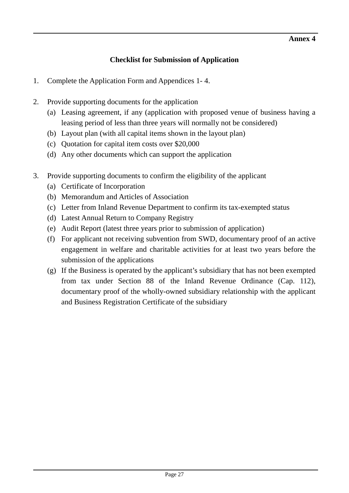# **Checklist for Submission of Application**

- 1. Complete the Application Form and Appendices 1- 4.
- 2. Provide supporting documents for the application
	- (a) Leasing agreement, if any (application with proposed venue of business having a leasing period of less than three years will normally not be considered)
	- (b) Layout plan (with all capital items shown in the layout plan)
	- (c) Quotation for capital item costs over \$20,000
	- (d) Any other documents which can support the application
- 3. Provide supporting documents to confirm the eligibility of the applicant
	- (a) Certificate of Incorporation
	- (b) Memorandum and Articles of Association
	- (c) Letter from Inland Revenue Department to confirm its tax-exempted status
	- (d) Latest Annual Return to Company Registry
	- (e) Audit Report (latest three years prior to submission of application)
	- (f) For applicant not receiving subvention from SWD, documentary proof of an active engagement in welfare and charitable activities for at least two years before the submission of the applications
	- (g) If the Business is operated by the applicant's subsidiary that has not been exempted from tax under Section 88 of the Inland Revenue Ordinance (Cap. 112), documentary proof of the wholly-owned subsidiary relationship with the applicant and Business Registration Certificate of the subsidiary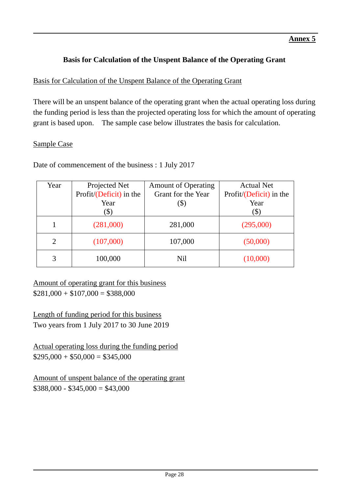# **Basis for Calculation of the Unspent Balance of the Operating Grant**

## Basis for Calculation of the Unspent Balance of the Operating Grant

There will be an unspent balance of the operating grant when the actual operating loss during the funding period is less than the projected operating loss for which the amount of operating grant is based upon. The sample case below illustrates the basis for calculation.

#### Sample Case

Date of commencement of the business : 1 July 2017

| Year                        | Projected Net           | <b>Amount of Operating</b> | <b>Actual Net</b>       |  |
|-----------------------------|-------------------------|----------------------------|-------------------------|--|
|                             | Profit/(Deficit) in the | Grant for the Year         | Profit/(Deficit) in the |  |
|                             | Year                    | (\$)                       | Year                    |  |
|                             | $(\$)$                  |                            | $(\$)$                  |  |
|                             | (281,000)               | 281,000                    | (295,000)               |  |
| $\mathcal{D}_{\mathcal{L}}$ | (107,000)               | 107,000                    | (50,000)                |  |
| 3                           | 100,000                 | N <sub>il</sub>            | (10,000)                |  |

Amount of operating grant for this business  $$281,000 + $107,000 = $388,000$ 

Length of funding period for this business Two years from 1 July 2017 to 30 June 2019

Actual operating loss during the funding period  $$295,000 + $50,000 = $345,000$ 

Amount of unspent balance of the operating grant  $$388,000 - $345,000 = $43,000$